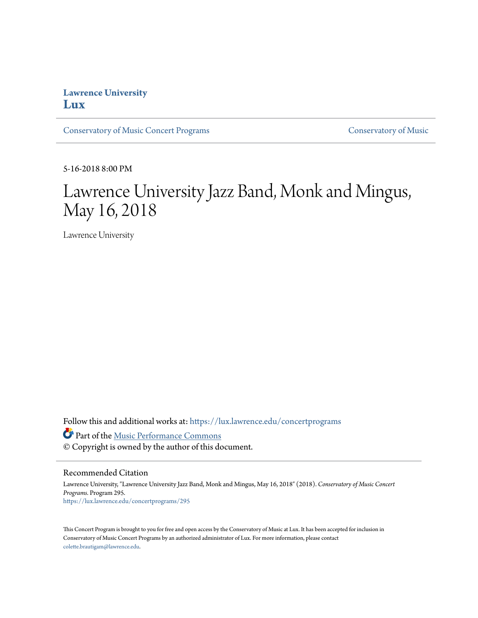### **Lawrence University [Lux](https://lux.lawrence.edu?utm_source=lux.lawrence.edu%2Fconcertprograms%2F295&utm_medium=PDF&utm_campaign=PDFCoverPages)**

[Conservatory of Music Concert Programs](https://lux.lawrence.edu/concertprograms?utm_source=lux.lawrence.edu%2Fconcertprograms%2F295&utm_medium=PDF&utm_campaign=PDFCoverPages) [Conservatory of Music](https://lux.lawrence.edu/con?utm_source=lux.lawrence.edu%2Fconcertprograms%2F295&utm_medium=PDF&utm_campaign=PDFCoverPages)

5-16-2018 8:00 PM

## Lawrence University Jazz Band, Monk and Mingus, May 16, 2018

Lawrence University

Follow this and additional works at: [https://lux.lawrence.edu/concertprograms](https://lux.lawrence.edu/concertprograms?utm_source=lux.lawrence.edu%2Fconcertprograms%2F295&utm_medium=PDF&utm_campaign=PDFCoverPages) Part of the [Music Performance Commons](http://network.bepress.com/hgg/discipline/1128?utm_source=lux.lawrence.edu%2Fconcertprograms%2F295&utm_medium=PDF&utm_campaign=PDFCoverPages) © Copyright is owned by the author of this document.

Recommended Citation

Lawrence University, "Lawrence University Jazz Band, Monk and Mingus, May 16, 2018" (2018). *Conservatory of Music Concert Programs.* Program 295. [https://lux.lawrence.edu/concertprograms/295](https://lux.lawrence.edu/concertprograms/295?utm_source=lux.lawrence.edu%2Fconcertprograms%2F295&utm_medium=PDF&utm_campaign=PDFCoverPages)

This Concert Program is brought to you for free and open access by the Conservatory of Music at Lux. It has been accepted for inclusion in Conservatory of Music Concert Programs by an authorized administrator of Lux. For more information, please contact [colette.brautigam@lawrence.edu.](mailto:colette.brautigam@lawrence.edu)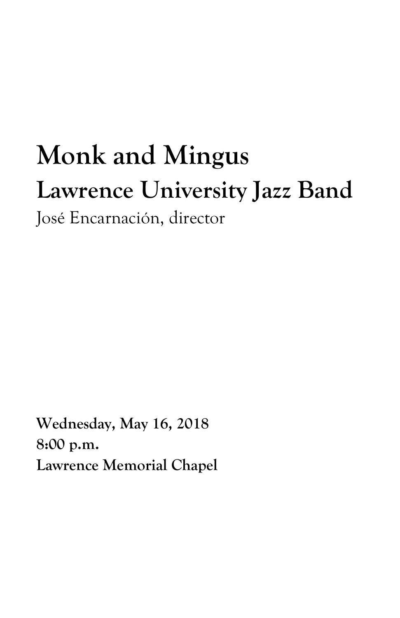# **Monk and Mingus Lawrence University Jazz Band** José Encarnación, director

**Wednesday, May 16, 2018 8:00 p.m. Lawrence Memorial Chapel**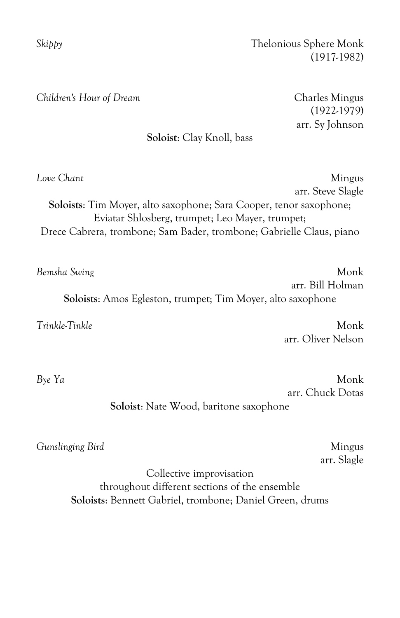*Children's Hour of Dream* Charles Mingus

(1922-1979) arr. Sy Johnson

### **Soloist**: Clay Knoll, bass

*Love Chant* Mingus arr. Steve Slagle **Soloists**: Tim Moyer, alto saxophone; Sara Cooper, tenor saxophone; Eviatar Shlosberg, trumpet; Leo Mayer, trumpet; Drece Cabrera, trombone; Sam Bader, trombone; Gabrielle Claus, piano

*Bemsha Swing* Monk arr. Bill Holman **Soloists**: Amos Egleston, trumpet; Tim Moyer, alto saxophone

*Trinkle-Tinkle* Monk arr. Oliver Nelson

*Bye Ya* Monk arr. Chuck Dotas

**Soloist**: Nate Wood, baritone saxophone

*Gunslinging Bird* Mingus

arr. Slagle

Collective improvisation throughout different sections of the ensemble **Soloists**: Bennett Gabriel, trombone; Daniel Green, drums